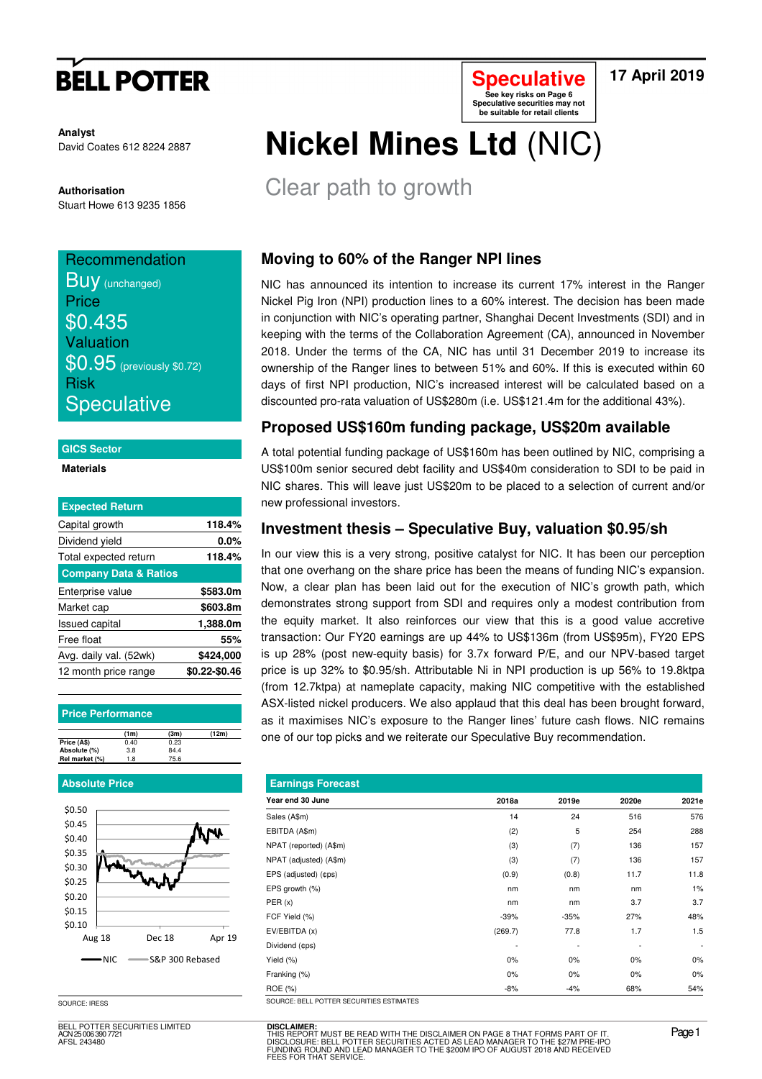# **BELL POTTER**

**Analyst** David Coates 612 8224 2887

**Authorisation**  Stuart Howe 613 9235 1856

## **Recommendation**

**BUV** (unchanged) **Price** \$0.435 Valuation \$0.95 (previously \$0.72) Risk **Speculative** 

#### **GICS Sector**

**Materials** 

| <b>Expected Return</b>           |               |
|----------------------------------|---------------|
| Capital growth                   | 118.4%        |
| Dividend yield                   | 0.0%          |
| Total expected return            | 118.4%        |
| <b>Company Data &amp; Ratios</b> |               |
| Enterprise value                 | \$583.0m      |
| Market cap                       | \$603.8m      |
| <b>Issued capital</b>            | 1,388.0m      |
| Free float                       | 55%           |
| Avg. daily val. (52wk)           | \$424,000     |
| 12 month price range             | \$0.22-\$0.46 |

#### **Price Performance**

|                | (1m) | (3m) | (12m) |
|----------------|------|------|-------|
| Price (A\$)    | 0.40 | 0.23 |       |
| Absolute (%)   | 3.8  | 84.4 |       |
| Rel market (%) | 1.8  | 75.6 |       |
|                |      |      |       |

#### **Absolute Price**



**DISCLAIMER:**

SOURCE: IRESS

BELL POTTER SECURITIES LIMITED ELL 1<br>N 25 006 390 772 AFSL 243480

## **Nickel Mines Ltd** (NIC) **Speculative securities may not be suitable for retail clients**

Clear path to growth

## **Moving to 60% of the Ranger NPI lines**

NIC has announced its intention to increase its current 17% interest in the Ranger Nickel Pig Iron (NPI) production lines to a 60% interest. The decision has been made in conjunction with NIC's operating partner, Shanghai Decent Investments (SDI) and in keeping with the terms of the Collaboration Agreement (CA), announced in November 2018. Under the terms of the CA, NIC has until 31 December 2019 to increase its ownership of the Ranger lines to between 51% and 60%. If this is executed within 60 days of first NPI production, NIC's increased interest will be calculated based on a discounted pro-rata valuation of US\$280m (i.e. US\$121.4m for the additional 43%).

## **Proposed US\$160m funding package, US\$20m available**

A total potential funding package of US\$160m has been outlined by NIC, comprising a US\$100m senior secured debt facility and US\$40m consideration to SDI to be paid in NIC shares. This will leave just US\$20m to be placed to a selection of current and/or new professional investors.

### **Investment thesis – Speculative Buy, valuation \$0.95/sh**

In our view this is a very strong, positive catalyst for NIC. It has been our perception that one overhang on the share price has been the means of funding NIC's expansion. Now, a clear plan has been laid out for the execution of NIC's growth path, which demonstrates strong support from SDI and requires only a modest contribution from the equity market. It also reinforces our view that this is a good value accretive transaction: Our FY20 earnings are up 44% to US\$136m (from US\$95m), FY20 EPS is up 28% (post new-equity basis) for 3.7x forward P/E, and our NPV-based target price is up 32% to \$0.95/sh. Attributable Ni in NPI production is up 56% to 19.8ktpa (from 12.7ktpa) at nameplate capacity, making NIC competitive with the established ASX-listed nickel producers. We also applaud that this deal has been brought forward, as it maximises NIC's exposure to the Ranger lines' future cash flows. NIC remains one of our top picks and we reiterate our Speculative Buy recommendation.

| <b>Earnings Forecast</b>                 |         |        |       |                          |  |  |  |  |  |
|------------------------------------------|---------|--------|-------|--------------------------|--|--|--|--|--|
| Year end 30 June                         | 2018a   | 2019e  | 2020e | 2021e                    |  |  |  |  |  |
| Sales (A\$m)                             | 14      | 24     | 516   | 576                      |  |  |  |  |  |
| EBITDA (A\$m)                            | (2)     | 5      | 254   | 288                      |  |  |  |  |  |
| NPAT (reported) (A\$m)                   | (3)     | (7)    | 136   | 157                      |  |  |  |  |  |
| NPAT (adjusted) (A\$m)                   | (3)     | (7)    | 136   | 157                      |  |  |  |  |  |
| EPS (adjusted) (¢ps)                     | (0.9)   | (0.8)  | 11.7  | 11.8                     |  |  |  |  |  |
| EPS growth (%)                           | nm      | nm     | nm    | 1%                       |  |  |  |  |  |
| PER(x)                                   | nm      | nm     | 3.7   | 3.7                      |  |  |  |  |  |
| FCF Yield (%)                            | $-39%$  | $-35%$ | 27%   | 48%                      |  |  |  |  |  |
| EV/EBITDA (x)                            | (269.7) | 77.8   | 1.7   | 1.5                      |  |  |  |  |  |
| Dividend (¢ps)                           |         |        |       | $\overline{\phantom{a}}$ |  |  |  |  |  |
| Yield (%)                                | 0%      | 0%     | 0%    | 0%                       |  |  |  |  |  |
| Franking (%)                             | $0\%$   | 0%     | $0\%$ | 0%                       |  |  |  |  |  |
| ROE (%)                                  | -8%     | $-4%$  | 68%   | 54%                      |  |  |  |  |  |
| SOURCE: BELL POTTER SECURITIES ESTIMATES |         |        |       |                          |  |  |  |  |  |

THIS REPORT MUST BE READ WITH THE DISCLAIMER ON PAGE 8 THAT FORMS PART OF IT.<br>DISCLOSURE: BELL POTTER SECURITIES ACTED AS LEAD MANAGER TO THE \$27M PRE-IPO<br>FUNDING ROUND AND LEAD MANAGER TO THE \$200M IPO OF AUGUST 2018 AND

**Speculative See key risks on Page 6** 

**17 April 2019**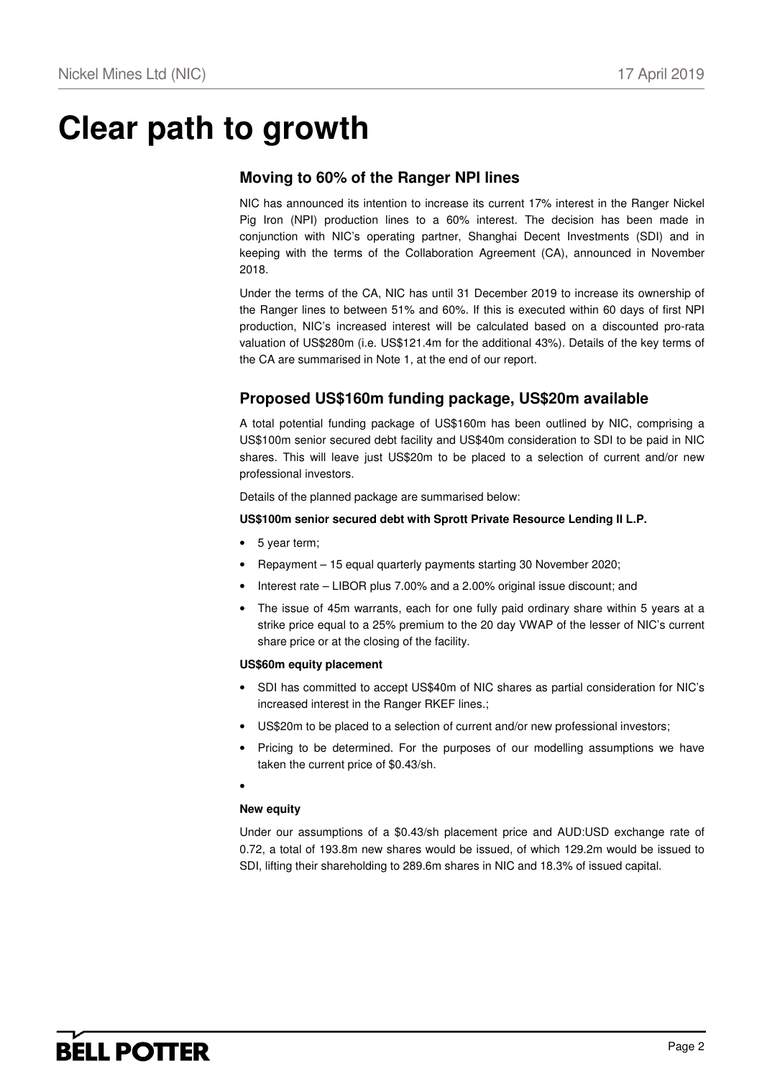# **Clear path to growth**

### **Moving to 60% of the Ranger NPI lines**

NIC has announced its intention to increase its current 17% interest in the Ranger Nickel Pig Iron (NPI) production lines to a 60% interest. The decision has been made in conjunction with NIC's operating partner, Shanghai Decent Investments (SDI) and in keeping with the terms of the Collaboration Agreement (CA), announced in November 2018.

Under the terms of the CA, NIC has until 31 December 2019 to increase its ownership of the Ranger lines to between 51% and 60%. If this is executed within 60 days of first NPI production, NIC's increased interest will be calculated based on a discounted pro-rata valuation of US\$280m (i.e. US\$121.4m for the additional 43%). Details of the key terms of the CA are summarised in Note 1, at the end of our report.

## **Proposed US\$160m funding package, US\$20m available**

A total potential funding package of US\$160m has been outlined by NIC, comprising a US\$100m senior secured debt facility and US\$40m consideration to SDI to be paid in NIC shares. This will leave just US\$20m to be placed to a selection of current and/or new professional investors.

Details of the planned package are summarised below:

### **US\$100m senior secured debt with Sprott Private Resource Lending II L.P.**

- 5 year term;
- Repayment 15 equal quarterly payments starting 30 November 2020;
- Interest rate LIBOR plus 7.00% and a 2.00% original issue discount; and
- The issue of 45m warrants, each for one fully paid ordinary share within 5 years at a strike price equal to a 25% premium to the 20 day VWAP of the lesser of NIC's current share price or at the closing of the facility.

#### **US\$60m equity placement**

- SDI has committed to accept US\$40m of NIC shares as partial consideration for NIC's increased interest in the Ranger RKEF lines.;
- US\$20m to be placed to a selection of current and/or new professional investors;
- Pricing to be determined. For the purposes of our modelling assumptions we have taken the current price of \$0.43/sh.
- •

### **New equity**

Under our assumptions of a \$0.43/sh placement price and AUD:USD exchange rate of 0.72, a total of 193.8m new shares would be issued, of which 129.2m would be issued to SDI, lifting their shareholding to 289.6m shares in NIC and 18.3% of issued capital.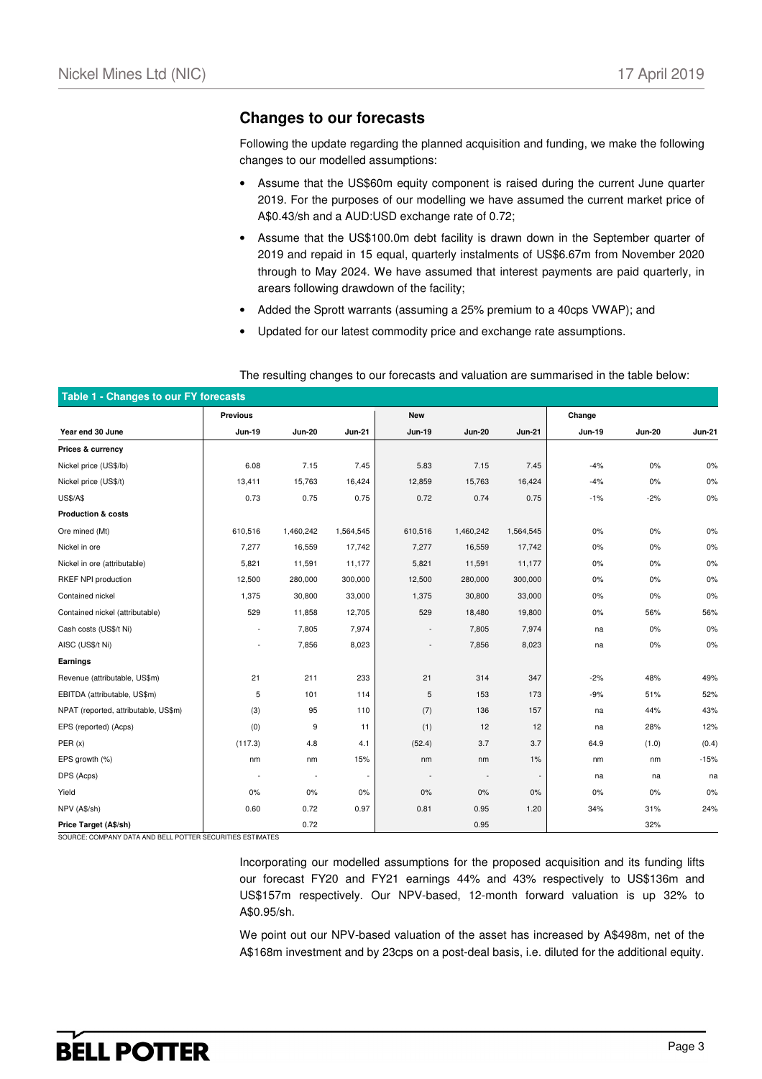### **Changes to our forecasts**

Following the update regarding the planned acquisition and funding, we make the following changes to our modelled assumptions:

- Assume that the US\$60m equity component is raised during the current June quarter 2019. For the purposes of our modelling we have assumed the current market price of A\$0.43/sh and a AUD:USD exchange rate of 0.72;
- Assume that the US\$100.0m debt facility is drawn down in the September quarter of 2019 and repaid in 15 equal, quarterly instalments of US\$6.67m from November 2020 through to May 2024. We have assumed that interest payments are paid quarterly, in arears following drawdown of the facility;
- Added the Sprott warrants (assuming a 25% premium to a 40cps VWAP); and
- Updated for our latest commodity price and exchange rate assumptions.

| Table 1 - Changes to our FY forecasts |                          |               |               |               |                          |               |        |               |               |  |
|---------------------------------------|--------------------------|---------------|---------------|---------------|--------------------------|---------------|--------|---------------|---------------|--|
|                                       | <b>Previous</b>          |               |               | <b>New</b>    |                          |               | Change |               |               |  |
| Year end 30 June                      | <b>Jun-19</b>            | <b>Jun-20</b> | <b>Jun-21</b> | <b>Jun-19</b> | <b>Jun-20</b>            | <b>Jun-21</b> | Jun-19 | <b>Jun-20</b> | <b>Jun-21</b> |  |
| Prices & currency                     |                          |               |               |               |                          |               |        |               |               |  |
| Nickel price (US\$/lb)                | 6.08                     | 7.15          | 7.45          | 5.83          | 7.15                     | 7.45          | $-4%$  | 0%            | 0%            |  |
| Nickel price (US\$/t)                 | 13,411                   | 15,763        | 16,424        | 12,859        | 15,763                   | 16,424        | $-4%$  | 0%            | 0%            |  |
| <b>US\$/A\$</b>                       | 0.73                     | 0.75          | 0.75          | 0.72          | 0.74                     | 0.75          | $-1%$  | $-2%$         | 0%            |  |
| <b>Production &amp; costs</b>         |                          |               |               |               |                          |               |        |               |               |  |
| Ore mined (Mt)                        | 610,516                  | 1,460,242     | 1,564,545     | 610,516       | 1,460,242                | 1,564,545     | $0\%$  | 0%            | 0%            |  |
| Nickel in ore                         | 7,277                    | 16,559        | 17,742        | 7,277         | 16,559                   | 17,742        | $0\%$  | 0%            | 0%            |  |
| Nickel in ore (attributable)          | 5,821                    | 11,591        | 11,177        | 5,821         | 11,591                   | 11,177        | $0\%$  | 0%            | 0%            |  |
| RKEF NPI production                   | 12,500                   | 280,000       | 300,000       | 12,500        | 280,000                  | 300,000       | $0\%$  | $0\%$         | 0%            |  |
| Contained nickel                      | 1,375                    | 30,800        | 33,000        | 1,375         | 30,800                   | 33,000        | $0\%$  | 0%            | 0%            |  |
| Contained nickel (attributable)       | 529                      | 11,858        | 12,705        | 529           | 18,480                   | 19,800        | $0\%$  | 56%           | 56%           |  |
| Cash costs (US\$/t Ni)                | $\overline{\phantom{a}}$ | 7,805         | 7,974         |               | 7,805                    | 7,974         | na     | $0\%$         | 0%            |  |
| AISC (US\$/t Ni)                      | ٠                        | 7,856         | 8,023         |               | 7,856                    | 8,023         | na     | $0\%$         | 0%            |  |
| Earnings                              |                          |               |               |               |                          |               |        |               |               |  |
| Revenue (attributable, US\$m)         | 21                       | 211           | 233           | 21            | 314                      | 347           | $-2%$  | 48%           | 49%           |  |
| EBITDA (attributable, US\$m)          | 5                        | 101           | 114           | 5             | 153                      | 173           | $-9%$  | 51%           | 52%           |  |
| NPAT (reported, attributable, US\$m)  | (3)                      | 95            | 110           | (7)           | 136                      | 157           | na     | 44%           | 43%           |  |
| EPS (reported) (Acps)                 | (0)                      | 9             | 11            | (1)           | 12                       | 12            | na     | 28%           | 12%           |  |
| PER(x)                                | (117.3)                  | 4.8           | 4.1           | (52.4)        | 3.7                      | 3.7           | 64.9   | (1.0)         | (0.4)         |  |
| EPS growth (%)                        | nm                       | nm            | 15%           | nm            | nm                       | 1%            | nm     | nm            | $-15%$        |  |
| DPS (Acps)                            | ÷.                       | $\sim$        |               |               | $\overline{\phantom{a}}$ |               | na     | na            | na            |  |
| Yield                                 | 0%                       | 0%            | 0%            | 0%            | $0\%$                    | 0%            | 0%     | 0%            | 0%            |  |
| NPV (A\$/sh)                          | 0.60                     | 0.72          | 0.97          | 0.81          | 0.95                     | 1.20          | 34%    | 31%           | 24%           |  |
| Price Target (A\$/sh)                 |                          | 0.72          |               |               | 0.95                     |               |        | 32%           |               |  |

The resulting changes to our forecasts and valuation are summarised in the table below:

SOURCE: COMPANY DATA AND BELL POTTER SECURITIES ESTIMATES

Incorporating our modelled assumptions for the proposed acquisition and its funding lifts our forecast FY20 and FY21 earnings 44% and 43% respectively to US\$136m and US\$157m respectively. Our NPV-based, 12-month forward valuation is up 32% to A\$0.95/sh.

We point out our NPV-based valuation of the asset has increased by A\$498m, net of the A\$168m investment and by 23cps on a post-deal basis, i.e. diluted for the additional equity.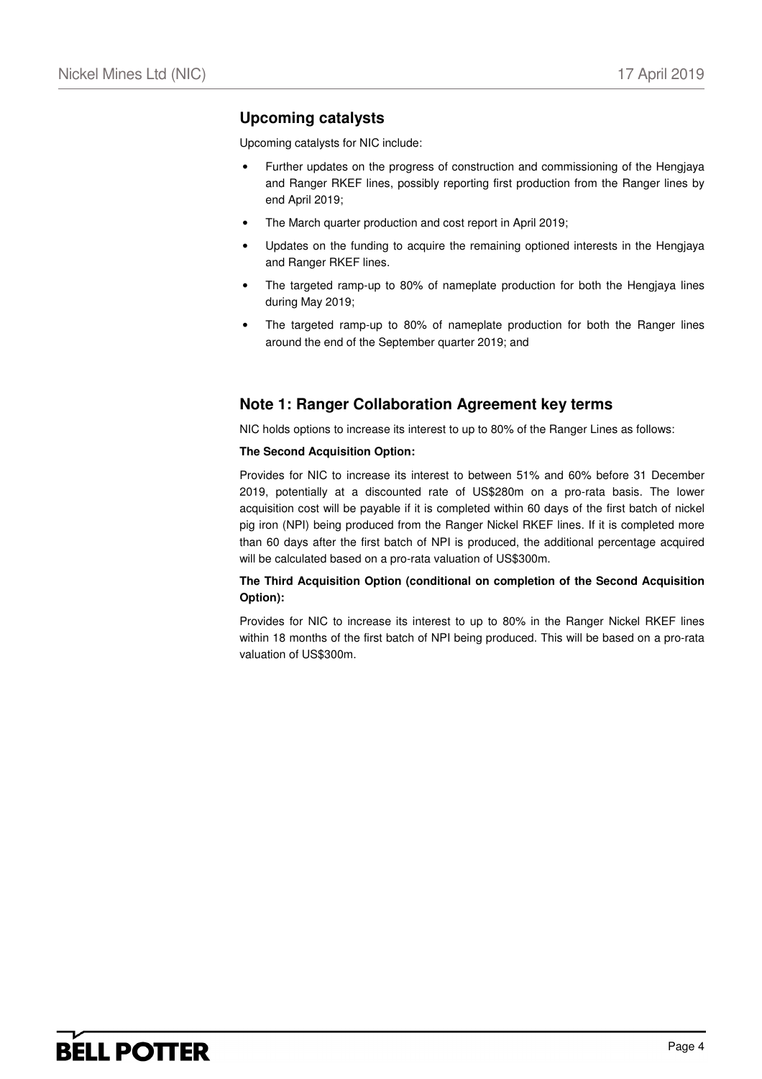## **Upcoming catalysts**

Upcoming catalysts for NIC include:

- Further updates on the progress of construction and commissioning of the Hengjaya and Ranger RKEF lines, possibly reporting first production from the Ranger lines by end April 2019;
- The March quarter production and cost report in April 2019;
- Updates on the funding to acquire the remaining optioned interests in the Hengjaya and Ranger RKEF lines.
- The targeted ramp-up to 80% of nameplate production for both the Hengjaya lines during May 2019;
- The targeted ramp-up to 80% of nameplate production for both the Ranger lines around the end of the September quarter 2019; and

## **Note 1: Ranger Collaboration Agreement key terms**

NIC holds options to increase its interest to up to 80% of the Ranger Lines as follows:

#### **The Second Acquisition Option:**

Provides for NIC to increase its interest to between 51% and 60% before 31 December 2019, potentially at a discounted rate of US\$280m on a pro-rata basis. The lower acquisition cost will be payable if it is completed within 60 days of the first batch of nickel pig iron (NPI) being produced from the Ranger Nickel RKEF lines. If it is completed more than 60 days after the first batch of NPI is produced, the additional percentage acquired will be calculated based on a pro-rata valuation of US\$300m.

### **The Third Acquisition Option (conditional on completion of the Second Acquisition Option):**

Provides for NIC to increase its interest to up to 80% in the Ranger Nickel RKEF lines within 18 months of the first batch of NPI being produced. This will be based on a pro-rata valuation of US\$300m.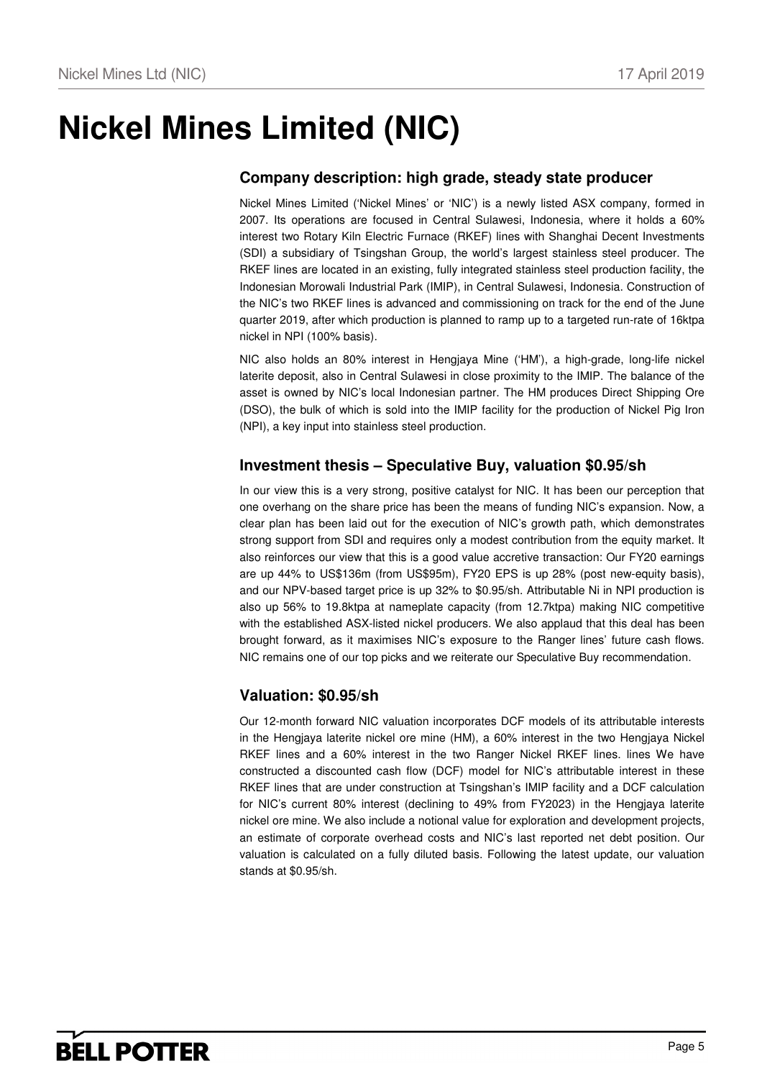# **Nickel Mines Limited (NIC)**

## **Company description: high grade, steady state producer**

Nickel Mines Limited ('Nickel Mines' or 'NIC') is a newly listed ASX company, formed in 2007. Its operations are focused in Central Sulawesi, Indonesia, where it holds a 60% interest two Rotary Kiln Electric Furnace (RKEF) lines with Shanghai Decent Investments (SDI) a subsidiary of Tsingshan Group, the world's largest stainless steel producer. The RKEF lines are located in an existing, fully integrated stainless steel production facility, the Indonesian Morowali Industrial Park (IMIP), in Central Sulawesi, Indonesia. Construction of the NIC's two RKEF lines is advanced and commissioning on track for the end of the June quarter 2019, after which production is planned to ramp up to a targeted run-rate of 16ktpa nickel in NPI (100% basis).

NIC also holds an 80% interest in Hengjaya Mine ('HM'), a high-grade, long-life nickel laterite deposit, also in Central Sulawesi in close proximity to the IMIP. The balance of the asset is owned by NIC's local Indonesian partner. The HM produces Direct Shipping Ore (DSO), the bulk of which is sold into the IMIP facility for the production of Nickel Pig Iron (NPI), a key input into stainless steel production.

## **Investment thesis – Speculative Buy, valuation \$0.95/sh**

In our view this is a very strong, positive catalyst for NIC. It has been our perception that one overhang on the share price has been the means of funding NIC's expansion. Now, a clear plan has been laid out for the execution of NIC's growth path, which demonstrates strong support from SDI and requires only a modest contribution from the equity market. It also reinforces our view that this is a good value accretive transaction: Our FY20 earnings are up 44% to US\$136m (from US\$95m), FY20 EPS is up 28% (post new-equity basis), and our NPV-based target price is up 32% to \$0.95/sh. Attributable Ni in NPI production is also up 56% to 19.8ktpa at nameplate capacity (from 12.7ktpa) making NIC competitive with the established ASX-listed nickel producers. We also applaud that this deal has been brought forward, as it maximises NIC's exposure to the Ranger lines' future cash flows. NIC remains one of our top picks and we reiterate our Speculative Buy recommendation.

## **Valuation: \$0.95/sh**

Our 12-month forward NIC valuation incorporates DCF models of its attributable interests in the Hengjaya laterite nickel ore mine (HM), a 60% interest in the two Hengjaya Nickel RKEF lines and a 60% interest in the two Ranger Nickel RKEF lines. lines We have constructed a discounted cash flow (DCF) model for NIC's attributable interest in these RKEF lines that are under construction at Tsingshan's IMIP facility and a DCF calculation for NIC's current 80% interest (declining to 49% from FY2023) in the Hengjaya laterite nickel ore mine. We also include a notional value for exploration and development projects, an estimate of corporate overhead costs and NIC's last reported net debt position. Our valuation is calculated on a fully diluted basis. Following the latest update, our valuation stands at \$0.95/sh.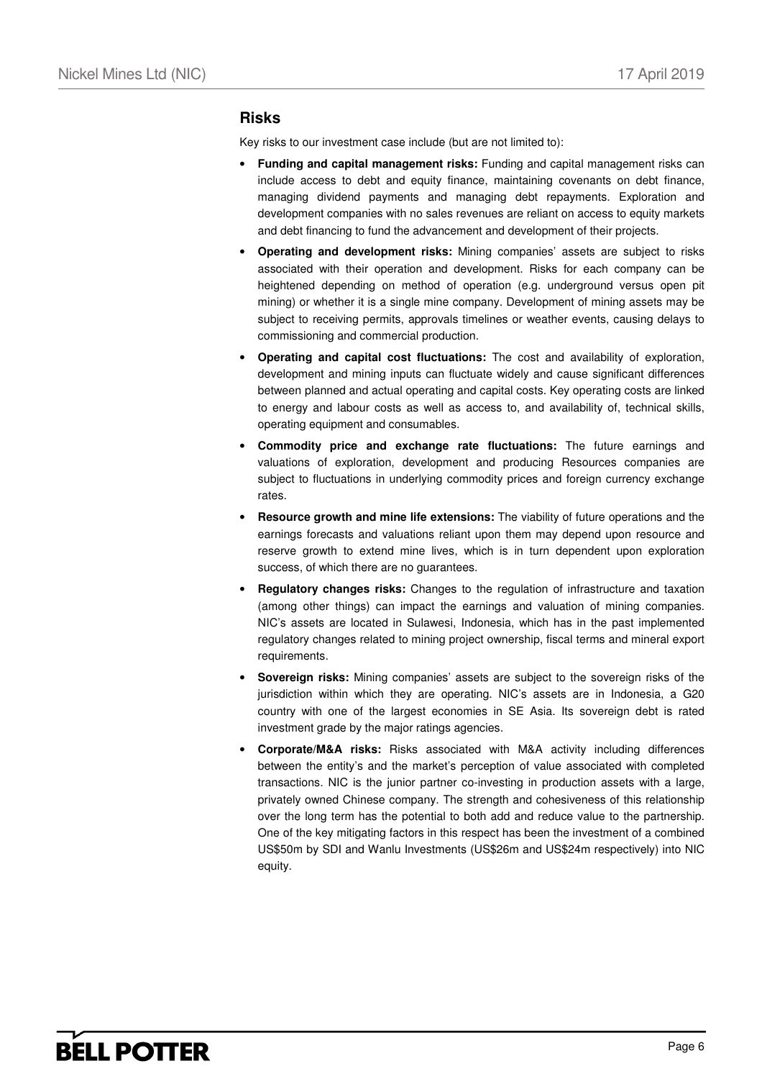### **Risks**

Key risks to our investment case include (but are not limited to):

- **Funding and capital management risks:** Funding and capital management risks can include access to debt and equity finance, maintaining covenants on debt finance, managing dividend payments and managing debt repayments. Exploration and development companies with no sales revenues are reliant on access to equity markets and debt financing to fund the advancement and development of their projects.
- **Operating and development risks:** Mining companies' assets are subject to risks associated with their operation and development. Risks for each company can be heightened depending on method of operation (e.g. underground versus open pit mining) or whether it is a single mine company. Development of mining assets may be subject to receiving permits, approvals timelines or weather events, causing delays to commissioning and commercial production.
- **Operating and capital cost fluctuations:** The cost and availability of exploration, development and mining inputs can fluctuate widely and cause significant differences between planned and actual operating and capital costs. Key operating costs are linked to energy and labour costs as well as access to, and availability of, technical skills, operating equipment and consumables.
- **Commodity price and exchange rate fluctuations:** The future earnings and valuations of exploration, development and producing Resources companies are subject to fluctuations in underlying commodity prices and foreign currency exchange rates.
- **Resource growth and mine life extensions:** The viability of future operations and the earnings forecasts and valuations reliant upon them may depend upon resource and reserve growth to extend mine lives, which is in turn dependent upon exploration success, of which there are no guarantees.
- **Regulatory changes risks:** Changes to the regulation of infrastructure and taxation (among other things) can impact the earnings and valuation of mining companies. NIC's assets are located in Sulawesi, Indonesia, which has in the past implemented regulatory changes related to mining project ownership, fiscal terms and mineral export requirements.
- **Sovereign risks:** Mining companies' assets are subject to the sovereign risks of the jurisdiction within which they are operating. NIC's assets are in Indonesia, a G20 country with one of the largest economies in SE Asia. Its sovereign debt is rated investment grade by the major ratings agencies.
- **Corporate/M&A risks:** Risks associated with M&A activity including differences between the entity's and the market's perception of value associated with completed transactions. NIC is the junior partner co-investing in production assets with a large, privately owned Chinese company. The strength and cohesiveness of this relationship over the long term has the potential to both add and reduce value to the partnership. One of the key mitigating factors in this respect has been the investment of a combined US\$50m by SDI and Wanlu Investments (US\$26m and US\$24m respectively) into NIC equity.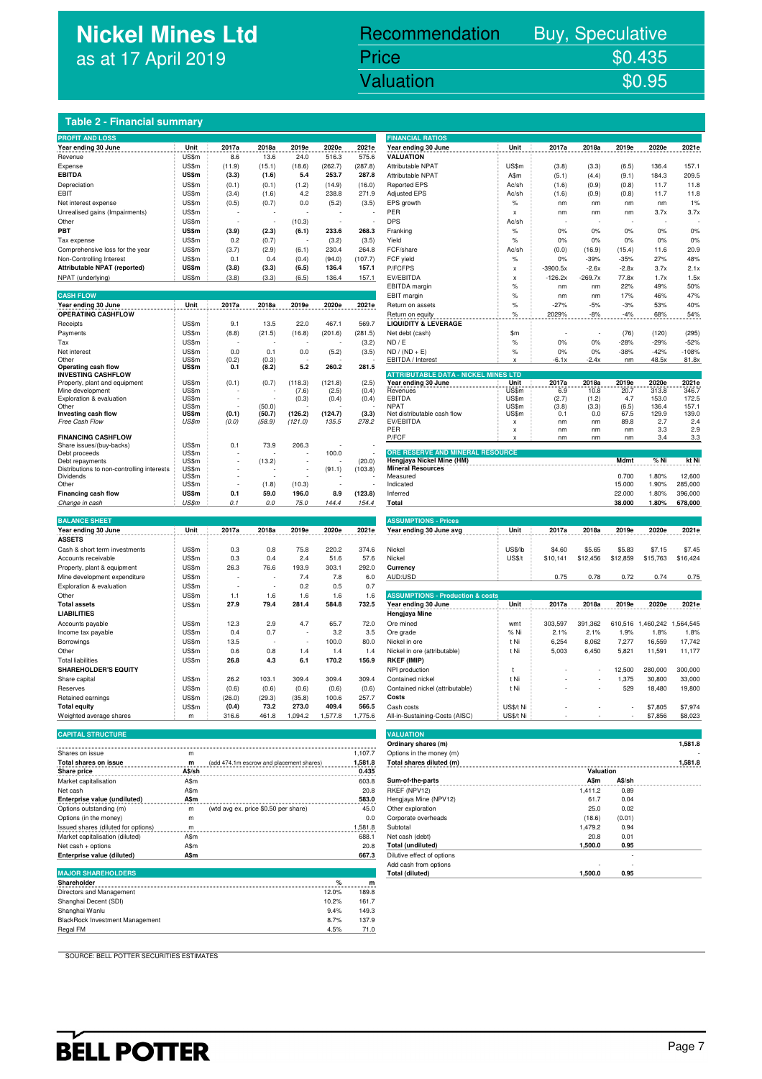## **Nickel Mines Ltd** as at 17 April 2019

# Recommendation Buy, Speculative Price \$0.435<br>Valuation \$0.95

Nickel Mines Ltd (Nickel Mines Ltd (Nickel Mines Ltd (Nickel Mines Ltd (Nickel Mines Ltd (Nickel Mines Ltd (Ni<br>Nickel Mines Ltd (Nickel Mines Ltd (Nickel Mines Ltd (Nickel Mines Ltd (Nickel Mines Ltd (Nickel Mines Ltd (Ni

#### **Table 2 - Financial summary**

| <b>PROFIT AND LOSS</b>                                      |                       |              |                  |         |         |         | <b>FINANCIAL RATIOS</b>                                       |                           |               |               |              |                 |                  |
|-------------------------------------------------------------|-----------------------|--------------|------------------|---------|---------|---------|---------------------------------------------------------------|---------------------------|---------------|---------------|--------------|-----------------|------------------|
| Year ending 30 June                                         | Unit                  | 2017a        | 2018a            | 2019e   | 2020e   | 2021e   | Year ending 30 June                                           | Unit                      | 2017a         | 2018a         | 2019e        | 2020e           | 2021e            |
| Revenue                                                     | US\$m                 | 8.6          | 13.6             | 24.0    | 516.3   | 575.6   | <b>VALUATION</b>                                              |                           |               |               |              |                 |                  |
| Expense                                                     | US\$m                 | (11.9)       | (15.1)           | (18.6)  | (262.7) | (287.8) | Attributable NPAT                                             | US\$m                     | (3.8)         | (3.3)         | (6.5)        | 136.4           | 157.1            |
| <b>EBITDA</b>                                               | US\$m                 | (3.3)        | (1.6)            | 5.4     | 253.7   | 287.8   | Attributable NPAT                                             | A\$m                      | (5.1)         | (4.4)         | (9.1)        | 184.3           | 209.5            |
| Depreciation                                                | US\$m                 | (0.1)        | (0.1)            | (1.2)   | (14.9)  | (16.0)  | <b>Reported EPS</b>                                           | Ac/sh                     | (1.6)         | (0.9)         | (0.8)        | 11.7            | 11.8             |
| EBIT                                                        | US\$m                 | (3.4)        | (1.6)            | 4.2     | 238.8   | 271.9   | <b>Adjusted EPS</b>                                           | Ac/sh                     | (1.6)         | (0.9)         | (0.8)        | 11.7            | 11.8             |
| Net interest expense                                        | US\$m                 | (0.5)        | (0.7)            | 0.0     | (5.2)   | (3.5)   | EPS growth                                                    | $\%$                      | nm            | nm            | nm           | nm              | 1%               |
| Unrealised gains (Impairments)                              | US\$m                 |              |                  |         |         |         | PER                                                           | $\boldsymbol{\mathsf{x}}$ | nm            | nm            | nm           | 3.7x            | 3.7x             |
| Other                                                       | US\$m                 |              |                  | (10.3)  |         |         | <b>DPS</b>                                                    | Ac/sh                     |               |               |              |                 |                  |
| PBT                                                         | US\$m                 | (3.9)        | (2.3)            | (6.1)   | 233.6   | 268.3   |                                                               | $\%$                      | 0%            | 0%            | 0%           | 0%              | 0%               |
| Tax expense                                                 | US\$m                 | 0.2          | (0.7)            |         | (3.2)   | (3.5)   | Franking<br>Yield                                             | $\frac{9}{6}$             | 0%            | 0%            | 0%           | 0%              | 0%               |
|                                                             | US\$m                 |              | (2.9)            | (6.1)   | 230.4   | 264.8   | FCF/share                                                     | Ac/sh                     | (0.0)         | (16.9)        | (15.4)       | 11.6            | 20.9             |
| Comprehensive loss for the year<br>Non-Controlling Interest | US\$m                 | (3.7)<br>0.1 | 0.4              | (0.4)   | (94.0)  | (107.7) | FCF yield                                                     | $\%$                      | 0%            | $-39%$        | $-35%$       | 27%             | 48%              |
| Attributable NPAT (reported)                                | US\$m                 | (3.8)        | (3.3)            | (6.5)   | 136.4   | 157.1   | P/FCFPS                                                       |                           | $-3900.5x$    | $-2.6x$       | $-2.8x$      | 3.7x            | 2.1x             |
| NPAT (underlying)                                           | US\$m                 | (3.8)        |                  |         | 136.4   |         | EV/EBITDA                                                     | X                         | $-126.2x$     | $-269.7x$     | 77.8x        | 1.7x            | 1.5x             |
|                                                             |                       |              | (3.3)            | (6.5)   |         | 157.1   |                                                               | $\pmb{\times}$<br>$\%$    |               |               | 22%          | 49%             | 50%              |
| <b>CASH FLOW</b>                                            |                       |              |                  |         |         |         | EBITDA margin                                                 |                           | nm            | nm            | 17%          | 46%             |                  |
|                                                             | Unit                  | 2017a        | 2018a            | 2019e   | 2020e   | 2021e   | EBIT margin                                                   | $\%$                      | nm            | nm            |              |                 | 47%              |
| Year ending 30 June<br><b>OPERATING CASHFLOW</b>            |                       |              |                  |         |         |         | Return on assets                                              | $\%$                      | $-27%$        | $-5%$         | $-3%$        | 53%             | 40%              |
|                                                             |                       |              |                  |         |         |         | Return on equity                                              | $\%$                      | 2029%         | $-8%$         | $-4%$        | 68%             | 54%              |
| Receipts                                                    | US\$m                 | 9.1          | 13.5             | 22.0    | 467.1   | 569.7   | <b>LIQUIDITY &amp; LEVERAGE</b>                               |                           |               |               |              |                 |                  |
| Payments                                                    | US\$m                 | (8.8)        | (21.5)           | (16.8)  | (201.6) | (281.5) | Net debt (cash)                                               | \$m                       |               |               | (76)         | (120)           | (295)            |
| Tax                                                         | US\$m                 |              |                  |         |         | (3.2)   | ND / E                                                        | $\frac{9}{6}$             | 0%            | 0%            | $-28%$       | $-29%$          | $-52%$           |
| Net interest<br>Other                                       | US\$m<br>US\$m        | 0.0<br>(0.2) | 0.1<br>(0.3)     | 0.0     | (5.2)   | (3.5)   | $ND / (ND + E)$<br>EBITDA / Interest                          | $\%$                      | 0%<br>$-6.1x$ | 0%<br>$-2.4x$ | $-38%$<br>nm | $-42%$<br>48.5x | $-108%$<br>81.8x |
| Operating cash flow                                         | US\$m                 | 0.1          | (8.2)            | 5.2     | 260.2   | 281.5   |                                                               |                           |               |               |              |                 |                  |
| <b>INVESTING CASHFLOW</b>                                   |                       |              |                  |         |         |         | <b>ATTRIBUTABLE DATA - NICKEL MINES LTD</b>                   |                           |               |               |              |                 |                  |
| Property, plant and equipment                               | US\$m                 | (0.1)        | (0.7)            | (118.3) | (121.8) | (2.5)   | Year ending 30 June                                           | Unit                      | 2017a         | 2018a         | 2019e        | 2020e           | 2021e            |
| Mine development                                            | US\$m                 |              |                  | (7.6)   | (2.5)   | (0.4)   | Revenues                                                      | US\$m                     | 6.9           | 10.8          | 20.7         | 313.8           | 346.7            |
| Exploration & evaluation<br>Other                           | US\$m<br>US\$m        |              |                  | (0.3)   | (0.4)   | (0.4)   | <b>EBITDA</b><br><b>NPAT</b>                                  | US\$m<br>US\$m            | (2.7)         | (1.2)         | 4.7<br>(6.5) | 153.0<br>136.4  | 172.5<br>157.1   |
| Investing cash flow                                         | US\$m                 | (0.1)        | (50.0)<br>(50.7) | (126.2) | (124.7) | (3.3)   | Net distributable cash flow                                   | US\$m                     | (3.8)<br>0.1  | (3.3)<br>0.0  | 67.5         | 129.9           | 139.0            |
| Free Cash Flow                                              | US\$m                 | (0.0)        | (58.9)           | (121.0) | 135.5   | 278.2   | EV/EBITDA                                                     | $\boldsymbol{\mathsf{x}}$ | nm            | nm            | 89.8         | 2.7             | 2.4              |
|                                                             |                       |              |                  |         |         |         | PER                                                           | $\mathbf{x}$              | nm            | nm            | nm           | 3.3             | 2.9              |
| <b>FINANCING CASHFLOW</b>                                   |                       |              |                  |         |         |         | P/FCF                                                         | Y                         | nm            | nm            | nm           | 3.4             | 3.3              |
| Share issues/(buy-backs)                                    | US\$m                 | 0.1          | 73.9             | 206.3   |         |         |                                                               |                           |               |               |              |                 |                  |
| Debt proceeds<br>Debt repayments                            | US\$m<br><b>US\$m</b> |              | (13.2)           | ÷,      | 100.0   | (20.0)  | ORE RESERVE AND MINERAL RESOURCE<br>Hengjaya Nickel Mine (HM) |                           |               |               | Mdmt         | % Ni            | kt Ni            |
| Distributions to non-controlling interests                  | US\$m                 |              |                  | ÷,      | (91.1)  | (103.8) | <b>Mineral Resources</b>                                      |                           |               |               |              |                 |                  |
| <b>Dividends</b>                                            | US\$m                 |              |                  |         |         |         | Measured                                                      |                           |               |               | 0.700        | 1.80%           | 12,600           |
| Other                                                       | US\$m                 |              | (1.8)            | (10.3)  |         |         | Indicated                                                     |                           |               |               | 15.000       | 1.90%           | 285,000          |
| Financing cash flow                                         | US\$m                 | 0.1          | 59.0             | 196.0   | 8.9     | (123.8) | Inferred                                                      |                           |               |               | 22.000       | 1.80%           | 396,000          |
| Change in cash                                              | US\$m                 | 0.1          | $0.0$            | 75.0    | 144.4   | 154.4   | Total                                                         |                           |               |               | 38.000       | 1.80%           | 678,000          |
|                                                             |                       |              |                  |         |         |         |                                                               |                           |               |               |              |                 |                  |
| <b>BALANCE SHEET</b>                                        |                       |              |                  |         |         |         | <b>ASSUMPTIONS - Prices</b>                                   |                           |               |               |              |                 |                  |
| Year ending 30 June                                         | Unit                  | 2017a        | 2018a            | 2019e   | 2020e   | 2021e   | Year ending 30 June avg                                       | Unit                      | 2017a         | 2018a         | 2019e        | 2020e           | 2021e            |
| <b>ASSETS</b>                                               |                       |              |                  |         |         |         |                                                               |                           |               |               |              |                 |                  |
| Cash & short term investments                               | US\$m                 | 0.3          | 0.8              | 75.8    | 220.2   | 374.6   | Nickel                                                        | US\$/lb                   | \$4.60        | \$5.65        | \$5.83       | \$7.15          | \$7.45           |
| Accounts receivable                                         | <b>US\$m</b>          | 0.3          | 0.4              | 2.4     | 51.6    | 57.6    | Nickel                                                        | US\$/t                    | \$10,141      | \$12,456      | \$12,859     | \$15,763        | \$16,424         |
| Property, plant & equipment                                 | US\$m                 | 26.3         | 76.6             | 193.9   | 303.1   | 292.0   | Currency                                                      |                           |               |               |              |                 |                  |
| Mine development expenditure                                | US\$m                 |              |                  | 7.4     | 7.8     | 6.0     | AUD:USD                                                       |                           | 0.75          | 0.78          | 0.72         | 0.74            | 0.75             |
| Exploration & evaluation                                    | US\$m                 |              |                  | 0.2     | 0.5     | 0.7     |                                                               |                           |               |               |              |                 |                  |
| Other                                                       | US\$m                 | 1.1          | 1.6              | 1.6     | 1.6     | 1.6     | <b>ASSUMPTIONS - Production &amp; costs</b>                   |                           |               |               |              |                 |                  |
| <b>Total assets</b>                                         | US\$m                 | 27.9         | 79.4             | 281.4   | 584.8   | 732.5   | Year ending 30 June                                           | Unit                      | 2017a         | 2018a         | 2019e        | 2020e           | 2021e            |
| <b>LIABILITIES</b>                                          |                       |              |                  |         |         |         | <b>Hengjaya Mine</b>                                          |                           |               |               |              |                 |                  |
| Accounts payable                                            | US\$m                 | 12.3         | 2.9              | 4.7     | 65.7    | 72.0    | Ore mined                                                     | wmt                       | 303,597       | 391,362       | 610,516      | 1,460,242       | 1,564,545        |
| Income tax payable                                          | US\$m                 | 0.4          | 0.7              |         | 3.2     | 3.5     | Ore grade                                                     | % Ni                      | 2.1%          | 2.1%          | 1.9%         | 1.8%            | 1.8%             |
| Borrowings                                                  | US\$m                 | 13.5         |                  | J.      | 100.0   | 80.0    | Nickel in ore                                                 | t Ni                      | 6,254         | 8,062         | 7,277        | 16,559          | 17,742           |
| Other                                                       | US\$m                 | 0.6          | 0.8              | 1.4     | 1.4     | 1.4     | Nickel in ore (attributable)                                  | t Ni                      | 5,003         | 6,450         | 5,821        | 11,591          | 11,177           |
| <b>Total liabilities</b>                                    | US\$m                 | 26.8         | 4.3              | 6.1     | 170.2   | 156.9   | RKEF (IMIP)                                                   |                           |               |               |              |                 |                  |
| <b>SHAREHOLDER'S EQUITY</b>                                 |                       |              |                  |         |         |         | NPI production                                                | $^{\dagger}$              |               |               | 12,500       | 280,000         | 300,000          |
| Share capital                                               | US\$m                 | 26.2         | 103.1            | 309.4   | 309.4   | 309.4   | Contained nickel                                              | t Ni                      |               |               | 1,375        | 30,800          | 33,000           |
| Reserves                                                    | US\$m                 | (0.6)        | (0.6)            | (0.6)   | (0.6)   | (0.6)   | Contained nickel (attributable)                               | t Ni                      |               |               | 529          | 18,480          | 19,800           |
| Retained earnings                                           | US\$m                 | (26.0)       | (29.3)           | (35.8)  | 100.6   | 257.7   | Costs                                                         |                           |               |               |              |                 |                  |
| <b>Total equity</b>                                         | US\$m                 | (0.4)        | 73.2             | 273.0   | 409.4   | 566.5   | Cash costs                                                    | US\$/t Ni                 |               |               |              | \$7,805         | \$7,974          |
| Weighted average shares                                     | m                     | 316.6        | 461.8            | 1,094.2 | 1,577.8 | 1,775.6 | All-in-Sustaining-Costs (AISC)                                | US\$/t Ni                 |               |               |              | \$7,856         | \$8,023          |

#### **CAPITAL STRUCTURE VALUATION**

|                                     |        |                                          |         | Ulullialy Silarcs (III)    |           |        | ט. ו טט, ו |
|-------------------------------------|--------|------------------------------------------|---------|----------------------------|-----------|--------|------------|
| Shares on issue                     | m      |                                          | 1,107.7 | Options in the money (m)   |           |        |            |
| Total shares on issue               | m      | (add 474.1m escrow and placement shares) | 1.581.8 | Total shares diluted (m)   |           |        | 1.581.8    |
| <b>Share price</b>                  | A\$/sh |                                          | 0.435   |                            | Valuation |        |            |
| Market capitalisation               | A\$m   |                                          | 603.8   | Sum-of-the-parts           | A\$m      | A\$/sh |            |
| Net cash                            | A\$m   |                                          | 20.8    | RKEF (NPV12)               | 1.411.2   | 0.89   |            |
| Enterprise value (undiluted)        | A\$m   |                                          | 583.0   | Hengiaya Mine (NPV12)      | 61.7      | 0.04   |            |
| Options outstanding (m)             | m      | (wtd avg ex. price \$0.50 per share)     | 45.0    | Other exploration          | 25.0      | 0.02   |            |
| Options (in the money)              | m      |                                          | 0.0     | Corporate overheads        | (18.6)    | (0.01) |            |
| Issued shares (diluted for options) |        |                                          | 1.581.8 | Subtotal                   | 1.479.2   | 0.94   |            |
| Market capitalisation (diluted)     | A\$m   |                                          | 688.1   | Net cash (debt)            | 20.8      | 0.01   |            |
| Net cash + options                  | A\$m   |                                          | 20.8    | Total (undiluted)          | 1.500.0   | 0.95   |            |
| Enterprise value (diluted)          | A\$m   |                                          | 667.3   | Dilutive effect of options |           |        |            |

### $MAJOR$  SHAREHOLDE

| Shareholder                            | $\%$  | m     |
|----------------------------------------|-------|-------|
| Directors and Management               | 12.0% | 189.8 |
| Shanghai Decent (SDI)                  | 10.2% | 161.7 |
| Shanghai Wanlu                         | 9.4%  | 149.3 |
| <b>BlackRock Investment Management</b> | 8.7%  | 137.9 |
| Regal FM                               | 4.5%  | 71.0  |

| <b>FINANCIAL RATIOS</b>                     |               |            |           |          |                             |          |
|---------------------------------------------|---------------|------------|-----------|----------|-----------------------------|----------|
| Year ending 30 June                         | Unit          | 2017a      | 2018a     | 2019e    | 2020e                       | 2021e    |
| <b>VALUATION</b>                            |               |            |           |          |                             |          |
| Attributable NPAT                           | US\$m         | (3.8)      | (3.3)     | (6.5)    | 136.4                       | 157.1    |
| Attributable NPAT                           | A\$m          | (5.1)      | (4.4)     | (9.1)    | 184.3                       | 209.5    |
| <b>Reported EPS</b>                         | Ac/sh         | (1.6)      | (0.9)     | (0.8)    | 11.7                        | 11.8     |
| Adjusted EPS                                | Ac/sh         | (1.6)      | (0.9)     | (0.8)    | 11.7                        | 11.8     |
| EPS growth                                  | %             | nm         | nm        | nm       | nm                          | 1%       |
| PER                                         | X             | nm         | nm        | nm       | 3.7x                        | 3.7x     |
| DPS                                         | Ac/sh         |            |           |          |                             |          |
| Franking                                    | $\%$          | 0%         | 0%        | 0%       | 0%                          | 0%       |
| Yield                                       | %             | 0%         | 0%        | 0%       | 0%                          | 0%       |
| FCF/share                                   | Ac/sh         | (0.0)      | (16.9)    | (15.4)   | 11.6                        | 20.9     |
| FCF yield                                   | %             | 0%         | $-39%$    | $-35%$   | 27%                         | 48%      |
| P/FCFPS                                     | X             | $-3900.5x$ | $-2.6x$   | $-2.8x$  | 3.7x                        | 2.1x     |
| EV/EBITDA                                   |               | $-126.2x$  | $-269.7x$ | 77.8x    | 1.7x                        | 1.5x     |
|                                             | X             |            |           |          |                             |          |
| EBITDA margin                               | %             | nm         | nm        | 22%      | 49%                         | 50%      |
| EBIT margin                                 | %             | nm         | nm        | 17%      | 46%                         | 47%      |
| Return on assets                            | $\%$          | $-27%$     | $-5%$     | $-3%$    | 53%                         | 40%      |
| Return on equity                            | %             | 2029%      | $-8%$     | $-4%$    | 68%                         | 54%      |
| <b>LIQUIDITY &amp; LEVERAGE</b>             |               |            |           |          |                             |          |
| Net debt (cash)                             | \$m           |            |           | (76)     | (120)                       | (295)    |
| ND / E                                      | %             | 0%         | 0%        | $-28%$   | $-29%$                      | $-52%$   |
| ND / (ND + E)                               | $\frac{9}{6}$ | 0%         | 0%        | $-38%$   | $-42%$                      | $-108%$  |
| EBITDA / Interest                           | X             | $-6.1x$    | $-2.4x$   | nm       | 48.5x                       | 81.8x    |
|                                             |               |            |           |          |                             |          |
| <b>ATTRIBUTABLE DATA - NICKEL MINES LTD</b> |               | 2017a      | 2018a     | 2019e    | 2020e                       | 2021e    |
| Year ending 30 June<br>Revenues             | Unit<br>US\$m | 6.9        | 10.8      | 20.7     | 313.8                       | 346.7    |
| EBITDA                                      | US\$m         | (2.7)      | (1.2)     | 4.7      | 153.0                       | 172.5    |
| <b>NPAT</b>                                 | US\$m         | (3.8)      | (3.3)     | (6.5)    | 136.4                       | 157.1    |
| Net distributable cash flow                 | US\$m         | 0.1        | 0.0       | 67.5     | 129.9                       | 139.0    |
| EV/EBITDA                                   | X             | nm         | nm        | 89.8     | 2.7                         | 2.4      |
| PER                                         | X             | nm         | nm        | nm       | 3.3                         | 2.9      |
| P/FCF                                       | x             | nm         | nm        | nm       | 3.4                         | 3.3      |
| ORE RESERVE AND MINERAL RESOURCE            |               |            |           |          |                             |          |
| Hengjaya Nickel Mine (HM)                   |               |            |           | Mdmt     | % Ni                        | kt Ni    |
| <b>Mineral Resources</b>                    |               |            |           |          |                             |          |
| Measured                                    |               |            |           | 0.700    | 1.80%                       | 12,600   |
| Indicated                                   |               |            |           | 15.000   | 1.90%                       | 285,000  |
| Inferred                                    |               |            |           | 22.000   | 1.80%                       | 396,000  |
| Total                                       |               |            |           | 38.000   | 1.80%                       | 678,000  |
|                                             |               |            |           |          |                             |          |
| <b>ASSUMPTIONS - Prices</b>                 |               |            |           |          |                             |          |
| Year ending 30 June avg                     | Unit          | 2017a      | 2018a     | 2019e    | 2020e                       | 2021e    |
|                                             |               |            |           |          |                             |          |
| Nickel                                      | US\$/lb       | \$4.60     | \$5.65    | \$5.83   | \$7.15                      | \$7.45   |
| Nickel                                      | US\$/t        | \$10,141   | \$12,456  | \$12,859 | \$15,763                    | \$16,424 |
| Currency                                    |               |            |           |          |                             |          |
|                                             |               |            |           |          |                             |          |
| AUD:USD                                     |               | 0.75       | 0.78      | 0.72     | 0.74                        | 0.75     |
|                                             |               |            |           |          |                             |          |
| <b>ASSUMPTIONS - Production &amp; costs</b> |               |            |           |          |                             |          |
| Year ending 30 June                         | Unit          | 2017a      | 2018a     | 2019e    | 2020e                       | 2021e    |
| Hengjaya Mine                               |               |            |           |          |                             |          |
| Ore mined                                   | wmt           | 303,597    | 391,362   |          | 610,516 1,460,242 1,564,545 |          |
| Ore grade                                   | % Ni          | 2.1%       | 2.1%      | 1.9%     | 1.8%                        | 1.8%     |
| Nickel in ore                               | t Ni          | 6,254      | 8,062     | 7,277    | 16,559                      | 17,742   |
| Nickel in ore (attributable)                | t Ni          | 5,003      | 6,450     | 5,821    | 11,591                      | 11,177   |
| RKEF (IMIP)                                 |               |            |           |          |                             |          |
| NPI production                              | t             |            |           | 12,500   | 280,000                     | 300,000  |
| Contained nickel                            | t Ni          |            |           | 1,375    | 30,800                      | 33,000   |
| Contained nickel (attributable)             | t Ni          |            |           | 529      | 18,480                      | 19,800   |
| Costs                                       |               |            |           |          |                             |          |
|                                             |               |            |           |          |                             |          |
| Cash costs                                  | US\$/t Ni     |            |           |          | \$7,805                     | \$7,974  |

| <b>TV Cignitude avenuele Sinarcs</b> | .           | <b>UIV.U</b><br><b>TUI.U</b><br>1,007.2  | <br>1, 1, 1, 0, 0 | The interest of the costs (Thoo) |              |        | $\mathsf{v}$ . | ww.uau                   |
|--------------------------------------|-------------|------------------------------------------|-------------------|----------------------------------|--------------|--------|----------------|--------------------------|
|                                      |             |                                          |                   |                                  |              |        |                |                          |
| <b>CAPITAL STRUCTURE</b>             |             |                                          |                   | <b>VALUATION</b>                 |              |        |                |                          |
|                                      |             |                                          |                   | Ordinary shares (m)              |              |        |                | 1,581.8                  |
| Shares on issue                      | m           |                                          | 1,107.7           | Options in the money (m)         |              |        |                | $\overline{\phantom{a}}$ |
| Total shares on issue                | m           | (add 474.1m escrow and placement shares) | 1,581.8           | Total shares diluted (m)         |              |        |                | 1,581.8                  |
| Share price                          | A\$/sh      |                                          | 0.435             |                                  | Valuation    |        |                |                          |
| Market capitalisation                | A\$m        |                                          | 603.8             | Sum-of-the-parts                 | <b>A</b> \$m | A\$/sh |                |                          |
| Net cash                             | A\$m        |                                          | 20.8              | RKEF (NPV12)                     | 1.411.2      | 0.89   |                |                          |
| Enterprise value (undiluted)         | <b>A\$m</b> |                                          | 583.0             | Hengjaya Mine (NPV12)            | 61.7         | 0.04   |                |                          |
| Options outstanding (m)              | m           | (wtd avg ex. price \$0.50 per share)     | 45.0              | Other exploration                | 25.0         | 0.02   |                |                          |
| Options (in the money)               | m           |                                          | 0.0               | Corporate overheads              | (18.6)       | (0.01) |                |                          |
| Issued shares (diluted for options)  |             |                                          | 1,581.8           | Subtotal                         | 1,479.2      | 0.94   |                |                          |
| Market capitalisation (diluted)      | A\$m        |                                          | 688.1             | Net cash (debt)                  | 20.8         | 0.01   |                |                          |
| Net cash + options                   | A\$m        |                                          | 20.8              | <b>Total (undiluted)</b>         | 1.500.0      | 0.95   |                |                          |
| Enterprise value (diluted)           | A\$m        |                                          | 667.3             | Dilutive effect of options       |              |        |                |                          |
|                                      |             |                                          |                   | Add cash from options            |              |        |                |                          |
| <b>MAJOR SHAREHOLDERS</b>            |             |                                          |                   | <b>Total (diluted)</b>           | 1.500.0      | 0.95   |                |                          |
| المحاولات والمسمحات                  |             |                                          | $\sim$            |                                  |              |        |                |                          |

SOURCE: BELL POTTER SECURITIES ESTIMATES